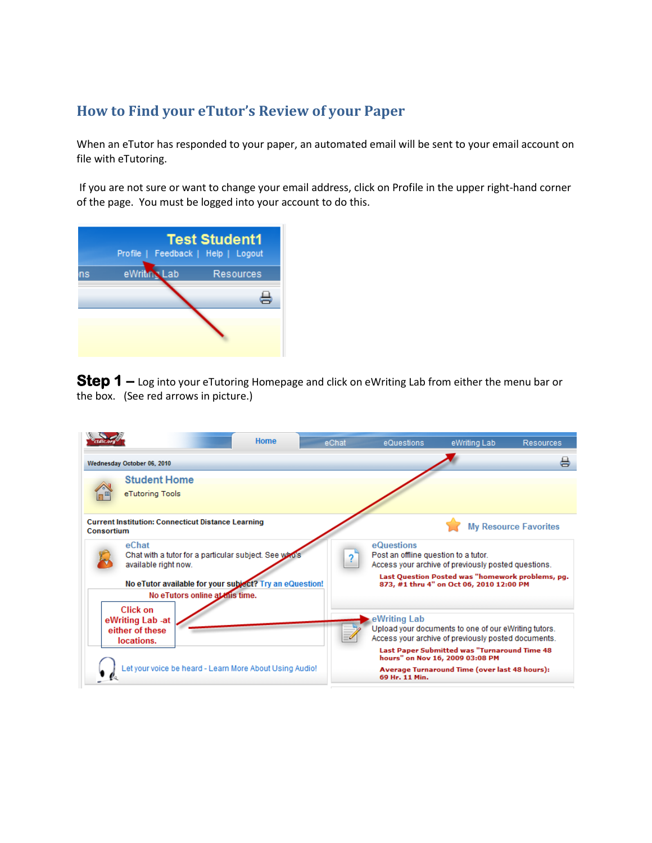## **How to Find your eTutor's Review of your Paper**

When an eTutor has responded to your paper, an automated email will be sent to your email account on file with eTutoring.

If you are not sure or want to change your email address, click on Profile in the upper right-hand corner of the page. You must be logged into your account to do this.

|    | Profile   Feedback   Help   Logout | <b>Test Student1</b> |
|----|------------------------------------|----------------------|
| ns | eWriting Lab                       | <b>Resources</b>     |
|    |                                    |                      |
|    |                                    |                      |

**Step 1** – Log into your eTutoring Homepage and click on eWriting Lab from either the menu bar or the box. (See red arrows in picture.)

|                                                                                                                                                                                      | Home | eChat | eQuestions                                         | eWriting Lab                                                                                                                                                                                                                                           | <b>Resources</b>             |
|--------------------------------------------------------------------------------------------------------------------------------------------------------------------------------------|------|-------|----------------------------------------------------|--------------------------------------------------------------------------------------------------------------------------------------------------------------------------------------------------------------------------------------------------------|------------------------------|
| Wednesday October 06, 2010                                                                                                                                                           |      |       |                                                    |                                                                                                                                                                                                                                                        | 능                            |
| <b>Student Home</b><br>eTutoring Tools                                                                                                                                               |      |       |                                                    |                                                                                                                                                                                                                                                        |                              |
| <b>Current Institution: Connecticut Distance Learning</b><br>Consortium                                                                                                              |      |       |                                                    |                                                                                                                                                                                                                                                        | <b>My Resource Favorites</b> |
| eChat<br>Chat with a tutor for a particular subject. See who's<br>available right now.<br>No eTutor available for your subject? Try an eQuestion!<br>No eTutors online at this time. |      |       | eQuestions<br>Post an offline question to a tutor. | Access your archive of previously posted questions.<br>Last Question Posted was "homework problems, pq.<br>873, #1 thru 4" on Oct 06, 2010 12:00 PM                                                                                                    |                              |
| Click on<br>eWriting Lab -at<br>either of these<br>locations.<br>Let your voice be heard - Learn More About Using Audio!                                                             |      |       | eWriting Lab<br>69 Hr. 11 Min.                     | Upload your documents to one of our eWriting tutors.<br>Access your archive of previously posted documents.<br><b>Last Paper Submitted was "Turnaround Time 48</b><br>hours" on Nov 16, 2009 03:08 PM<br>Average Turnaround Time (over last 48 hours): |                              |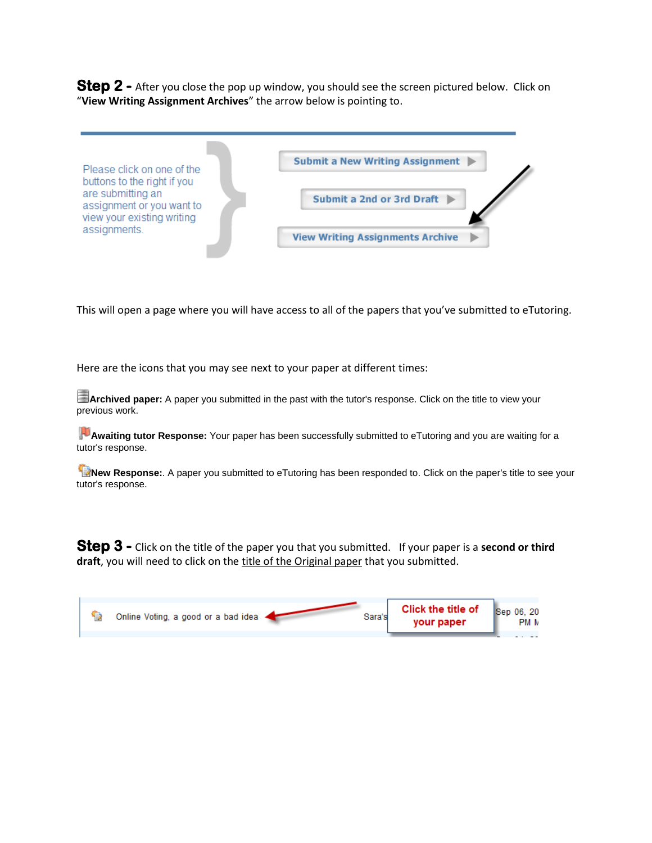**Step 2 -** After you close the pop up window, you should see the screen pictured below. Click on "**View Writing Assignment Archives**" the arrow below is pointing to.

| Please click on one of the                                                                                  | Submit a New Writing Assignment         |
|-------------------------------------------------------------------------------------------------------------|-----------------------------------------|
| buttons to the right if you<br>are submitting an<br>assignment or you want to<br>view your existing writing | Submit a 2nd or 3rd Draft ▶             |
| assignments.                                                                                                | <b>View Writing Assignments Archive</b> |

This will open a page where you will have access to all of the papers that you've submitted to eTutoring.

Here are the icons that you may see next to your paper at different times:

**Archived paper:** A paper you submitted in the past with the tutor's response. Click on the title to view your previous work.

**Awaiting tutor Response:** Your paper has been successfully submitted to eTutoring and you are waiting for a tutor's response.

**New Response:**. A paper you submitted to eTutoring has been responded to. Click on the paper's title to see your tutor's response.

**Step 3 -** Click on the title of the paper you that you submitted. If your paper is a **second or third draft**, you will need to click on the title of the Original paper that you submitted.

| PM M | Click the title of<br>Sep 06, 20<br>Online Voting, a good or a bad idea<br>Sara's<br>your paper |
|------|-------------------------------------------------------------------------------------------------|
|------|-------------------------------------------------------------------------------------------------|